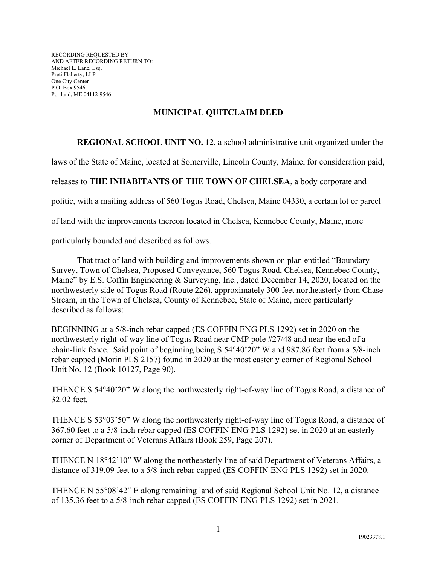RECORDING REQUESTED BY AND AFTER RECORDING RETURN TO: Michael L. Lane, Esq. Preti Flaherty, LLP One City Center P.O. Box 9546 Portland, ME 04112-9546

## **MUNICIPAL QUITCLAIM DEED**

## **REGIONAL SCHOOL UNIT NO. 12**, a school administrative unit organized under the

laws of the State of Maine, located at Somerville, Lincoln County, Maine, for consideration paid,

## releases to **THE INHABITANTS OF THE TOWN OF CHELSEA**, a body corporate and

politic, with a mailing address of 560 Togus Road, Chelsea, Maine 04330, a certain lot or parcel

of land with the improvements thereon located in Chelsea, Kennebec County, Maine, more

particularly bounded and described as follows.

That tract of land with building and improvements shown on plan entitled "Boundary Survey, Town of Chelsea, Proposed Conveyance, 560 Togus Road, Chelsea, Kennebec County, Maine" by E.S. Coffin Engineering & Surveying, Inc., dated December 14, 2020, located on the northwesterly side of Togus Road (Route 226), approximately 300 feet northeasterly from Chase Stream, in the Town of Chelsea, County of Kennebec, State of Maine, more particularly described as follows:

BEGINNING at a 5/8-inch rebar capped (ES COFFIN ENG PLS 1292) set in 2020 on the northwesterly right-of-way line of Togus Road near CMP pole #27/48 and near the end of a chain-link fence. Said point of beginning being S  $54^{\circ}40'20''$  W and 987.86 feet from a  $5/8$ -inch rebar capped (Morin PLS 2157) found in 2020 at the most easterly corner of Regional School Unit No. 12 (Book 10127, Page 90).

THENCE S 5440'20" W along the northwesterly right-of-way line of Togus Road, a distance of 32.02 feet.

THENCE S 53°03'50" W along the northwesterly right-of-way line of Togus Road, a distance of 367.60 feet to a 5/8-inch rebar capped (ES COFFIN ENG PLS 1292) set in 2020 at an easterly corner of Department of Veterans Affairs (Book 259, Page 207).

THENCE N 18°42'10" W along the northeasterly line of said Department of Veterans Affairs, a distance of 319.09 feet to a 5/8-inch rebar capped (ES COFFIN ENG PLS 1292) set in 2020.

THENCE N 55°08'42" E along remaining land of said Regional School Unit No. 12, a distance of 135.36 feet to a 5/8-inch rebar capped (ES COFFIN ENG PLS 1292) set in 2021.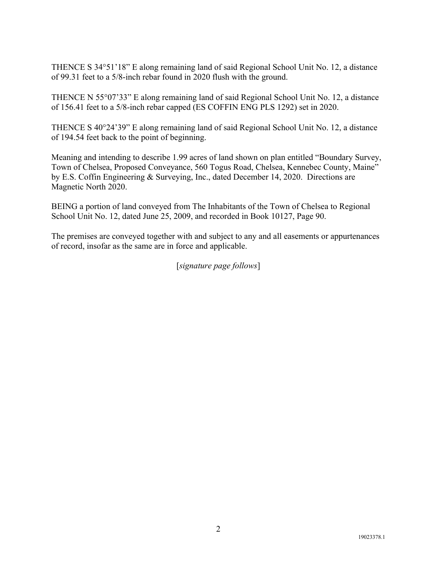THENCE S 34°51'18" E along remaining land of said Regional School Unit No. 12, a distance of 99.31 feet to a 5/8-inch rebar found in 2020 flush with the ground.

THENCE N 55°07'33" E along remaining land of said Regional School Unit No. 12, a distance of 156.41 feet to a 5/8-inch rebar capped (ES COFFIN ENG PLS 1292) set in 2020.

THENCE S 40°24'39" E along remaining land of said Regional School Unit No. 12, a distance of 194.54 feet back to the point of beginning.

Meaning and intending to describe 1.99 acres of land shown on plan entitled "Boundary Survey, Town of Chelsea, Proposed Conveyance, 560 Togus Road, Chelsea, Kennebec County, Maine" by E.S. Coffin Engineering & Surveying, Inc., dated December 14, 2020. Directions are Magnetic North 2020.

BEING a portion of land conveyed from The Inhabitants of the Town of Chelsea to Regional School Unit No. 12, dated June 25, 2009, and recorded in Book 10127, Page 90.

The premises are conveyed together with and subject to any and all easements or appurtenances of record, insofar as the same are in force and applicable.

[*signature page follows*]